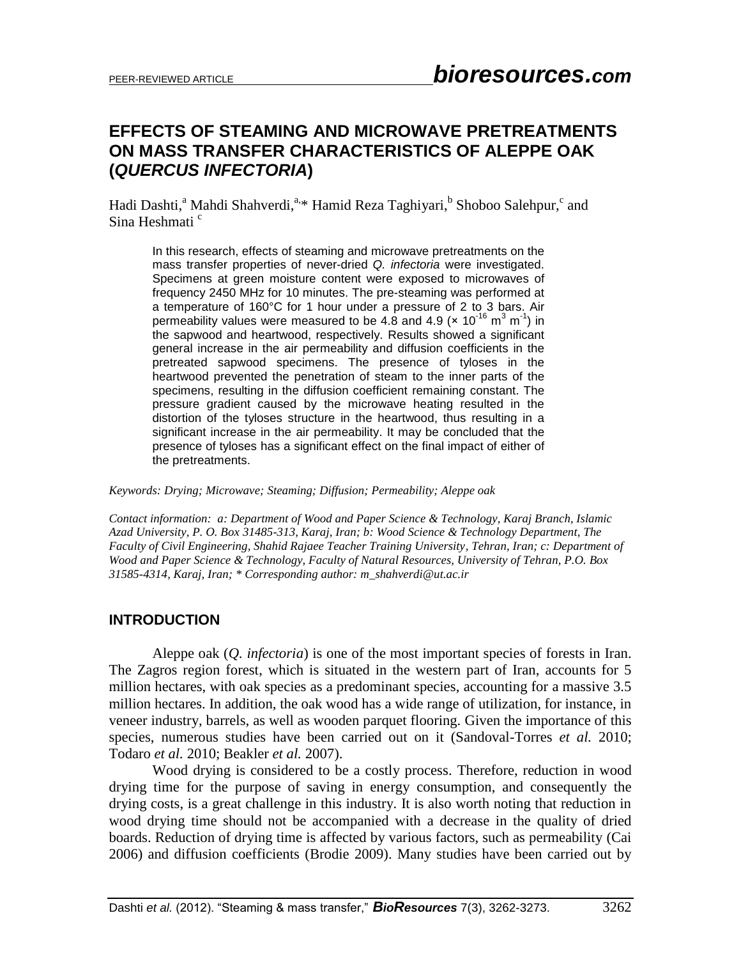# **EFFECTS OF STEAMING AND MICROWAVE PRETREATMENTS ON MASS TRANSFER CHARACTERISTICS OF ALEPPE OAK (***QUERCUS INFECTORIA***)**

Hadi Dashti,<sup>a</sup> Mahdi Shahverdi,<sup>a,\*</sup> Hamid Reza Taghiyari,<sup>b</sup> Shoboo Salehpur,<sup>c</sup> and Sina Heshmati<sup>c</sup>

In this research, effects of steaming and microwave pretreatments on the mass transfer properties of never-dried *Q. infectoria* were investigated. Specimens at green moisture content were exposed to microwaves of frequency 2450 MHz for 10 minutes. The pre-steaming was performed at a temperature of 160°C for 1 hour under a pressure of 2 to 3 bars. Air permeability values were measured to be 4.8 and 4.9 ( $\times$  10<sup>-16</sup> m<sup>3</sup> m<sup>-1</sup>) in the sapwood and heartwood, respectively. Results showed a significant general increase in the air permeability and diffusion coefficients in the pretreated sapwood specimens. The presence of tyloses in the heartwood prevented the penetration of steam to the inner parts of the specimens, resulting in the diffusion coefficient remaining constant. The pressure gradient caused by the microwave heating resulted in the distortion of the tyloses structure in the heartwood, thus resulting in a significant increase in the air permeability. It may be concluded that the presence of tyloses has a significant effect on the final impact of either of the pretreatments.

#### *Keywords: Drying; Microwave; Steaming; Diffusion; Permeability; Aleppe oak*

*Contact information: a: Department of Wood and Paper Science & Technology, Karaj Branch, Islamic Azad University, P. O. Box 31485-313, Karaj, Iran; b: Wood Science & Technology Department, The Faculty of Civil Engineering, Shahid Rajaee Teacher Training University, Tehran, Iran; c: Department of Wood and Paper Science & Technology, Faculty of Natural Resources, University of Tehran, P.O. Box 31585-4314, Karaj, Iran; \* Corresponding author: m\_shahverdi@ut.ac.ir*

## **INTRODUCTION**

Aleppe oak (*Q. infectoria*) is one of the most important species of forests in Iran. The Zagros region forest, which is situated in the western part of Iran, accounts for 5 million hectares, with oak species as a predominant species, accounting for a massive 3.5 million hectares. In addition, the oak wood has a wide range of utilization, for instance, in veneer industry, barrels, as well as wooden parquet flooring. Given the importance of this species, numerous studies have been carried out on it (Sandoval-Torres *et al.* 2010; Todaro *et al.* 2010; Beakler *et al.* 2007).

Wood drying is considered to be a costly process. Therefore, reduction in wood drying time for the purpose of saving in energy consumption, and consequently the drying costs, is a great challenge in this industry. It is also worth noting that reduction in wood drying time should not be accompanied with a decrease in the quality of dried boards. Reduction of drying time is affected by various factors, such as permeability (Cai 2006) and diffusion coefficients (Brodie 2009). Many studies have been carried out by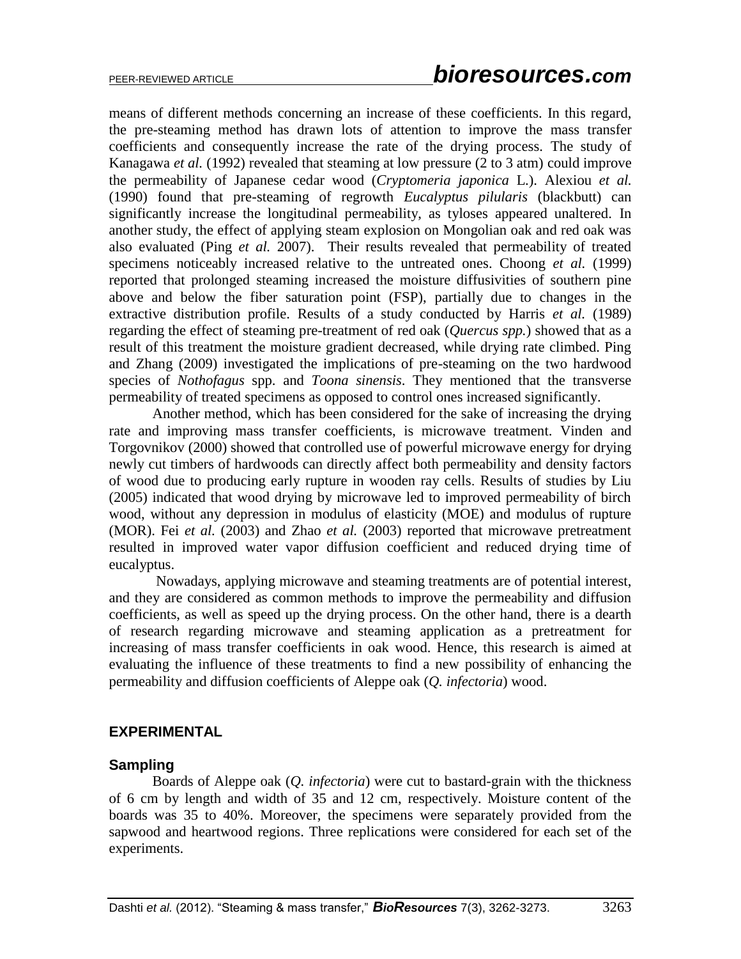means of different methods concerning an increase of these coefficients. In this regard, the pre-steaming method has drawn lots of attention to improve the mass transfer coefficients and consequently increase the rate of the drying process. The study of Kanagawa *et al.* (1992) revealed that steaming at low pressure (2 to 3 atm) could improve the permeability of Japanese cedar wood (*Cryptomeria japonica* L.). Alexiou *et al.* (1990) found that pre-steaming of regrowth *Eucalyptus pilularis* (blackbutt) can significantly increase the longitudinal permeability, as tyloses appeared unaltered. In another study, the effect of applying steam explosion on Mongolian oak and red oak was also evaluated (Ping *et al.* 2007). Their results revealed that permeability of treated specimens noticeably increased relative to the untreated ones. Choong *et al.* (1999) reported that prolonged steaming increased the moisture diffusivities of southern pine above and below the fiber saturation point (FSP), partially due to changes in the extractive distribution profile. Results of a study conducted by Harris *et al.* (1989) regarding the effect of steaming pre-treatment of red oak (*Quercus spp.*) showed that as a result of this treatment the moisture gradient decreased, while drying rate climbed. Ping and Zhang (2009) investigated the implications of pre-steaming on the two hardwood species of *Nothofagus* spp. and *Toona sinensis*. They mentioned that the transverse permeability of treated specimens as opposed to control ones increased significantly.

Another method, which has been considered for the sake of increasing the drying rate and improving mass transfer coefficients, is microwave treatment. Vinden and Torgovnikov (2000) showed that controlled use of powerful microwave energy for drying newly cut timbers of hardwoods can directly affect both permeability and density factors of wood due to producing early rupture in wooden ray cells. Results of studies by Liu (2005) indicated that wood drying by microwave led to improved permeability of birch wood, without any depression in modulus of elasticity (MOE) and modulus of rupture (MOR). Fei *et al.* (2003) and Zhao *et al.* (2003) reported that microwave pretreatment resulted in improved water vapor diffusion coefficient and reduced drying time of eucalyptus.

Nowadays, applying microwave and steaming treatments are of potential interest, and they are considered as common methods to improve the permeability and diffusion coefficients, as well as speed up the drying process. On the other hand, there is a dearth of research regarding microwave and steaming application as a pretreatment for increasing of mass transfer coefficients in oak wood. Hence, this research is aimed at evaluating the influence of these treatments to find a new possibility of enhancing the permeability and diffusion coefficients of Aleppe oak (*Q. infectoria*) wood.

# **EXPERIMENTAL**

## **Sampling**

Boards of Aleppe oak (*Q. infectoria*) were cut to bastard-grain with the thickness of 6 cm by length and width of 35 and 12 cm, respectively. Moisture content of the boards was 35 to 40%. Moreover, the specimens were separately provided from the sapwood and heartwood regions. Three replications were considered for each set of the experiments.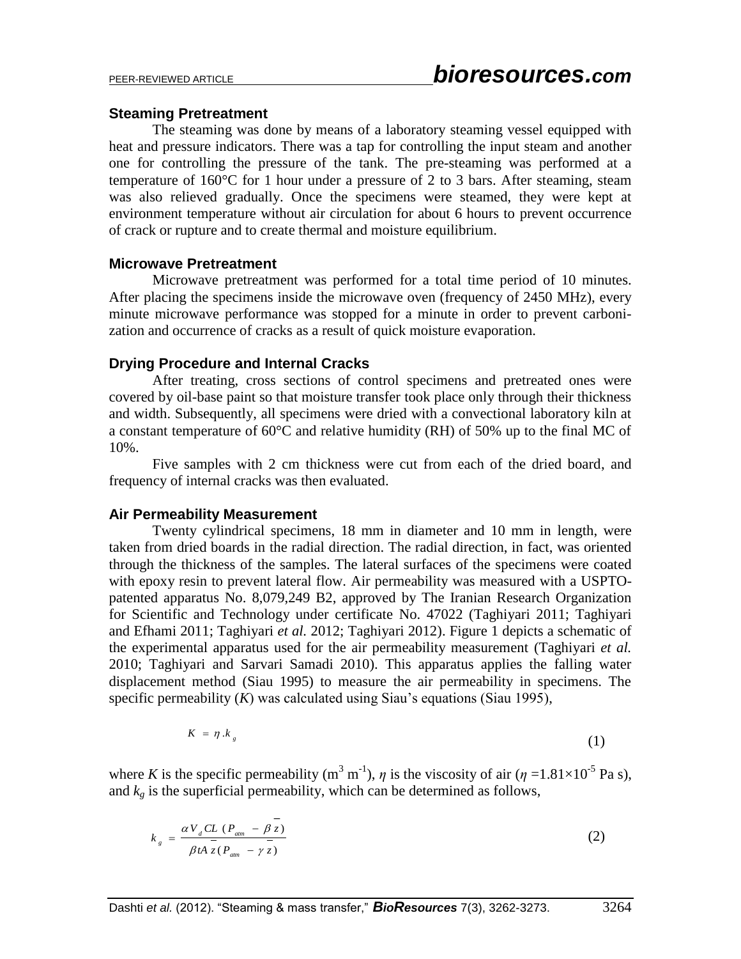#### **Steaming Pretreatment**

The steaming was done by means of a laboratory steaming vessel equipped with heat and pressure indicators. There was a tap for controlling the input steam and another one for controlling the pressure of the tank. The pre-steaming was performed at a temperature of 160°C for 1 hour under a pressure of 2 to 3 bars. After steaming, steam was also relieved gradually. Once the specimens were steamed, they were kept at environment temperature without air circulation for about 6 hours to prevent occurrence of crack or rupture and to create thermal and moisture equilibrium.

#### **Microwave Pretreatment**

Microwave pretreatment was performed for a total time period of 10 minutes. After placing the specimens inside the microwave oven (frequency of 2450 MHz), every minute microwave performance was stopped for a minute in order to prevent carbonization and occurrence of cracks as a result of quick moisture evaporation.

## **Drying Procedure and Internal Cracks**

After treating, cross sections of control specimens and pretreated ones were covered by oil-base paint so that moisture transfer took place only through their thickness and width. Subsequently, all specimens were dried with a convectional laboratory kiln at a constant temperature of 60°C and relative humidity (RH) of 50% up to the final MC of 10%.

Five samples with 2 cm thickness were cut from each of the dried board, and frequency of internal cracks was then evaluated.

## **Air Permeability Measurement**

Twenty cylindrical specimens, 18 mm in diameter and 10 mm in length, were taken from dried boards in the radial direction. The radial direction, in fact, was oriented through the thickness of the samples. The lateral surfaces of the specimens were coated with epoxy resin to prevent lateral flow. Air permeability was measured with a USPTOpatented apparatus No. 8,079,249 B2, approved by The Iranian Research Organization for Scientific and Technology under certificate No. 47022 (Taghiyari 2011; Taghiyari and Efhami 2011; Taghiyari *et al.* 2012; Taghiyari 2012). Figure 1 depicts a schematic of the experimental apparatus used for the air permeability measurement (Taghiyari *et al.* 2010; Taghiyari and Sarvari Samadi 2010). This apparatus applies the falling water displacement method (Siau 1995) to measure the air permeability in specimens. The specific permeability (*K*) was calculated using Siau's equations (Siau 1995),

$$
K = \eta \cdot k_{s} \tag{1}
$$

where *K* is the specific permeability  $(m^3 m^{-1})$ ,  $\eta$  is the viscosity of air  $(\eta =1.81 \times 10^{-5} \text{ Pa s})$ , and  $k_g$  is the superficial permeability, which can be determined as follows,

$$
k_{g} = \frac{\alpha V_{d} CL (P_{\text{atm}} - \beta z)}{\beta t A \bar{z} (P_{\text{atm}} - \gamma \bar{z})}
$$
(2)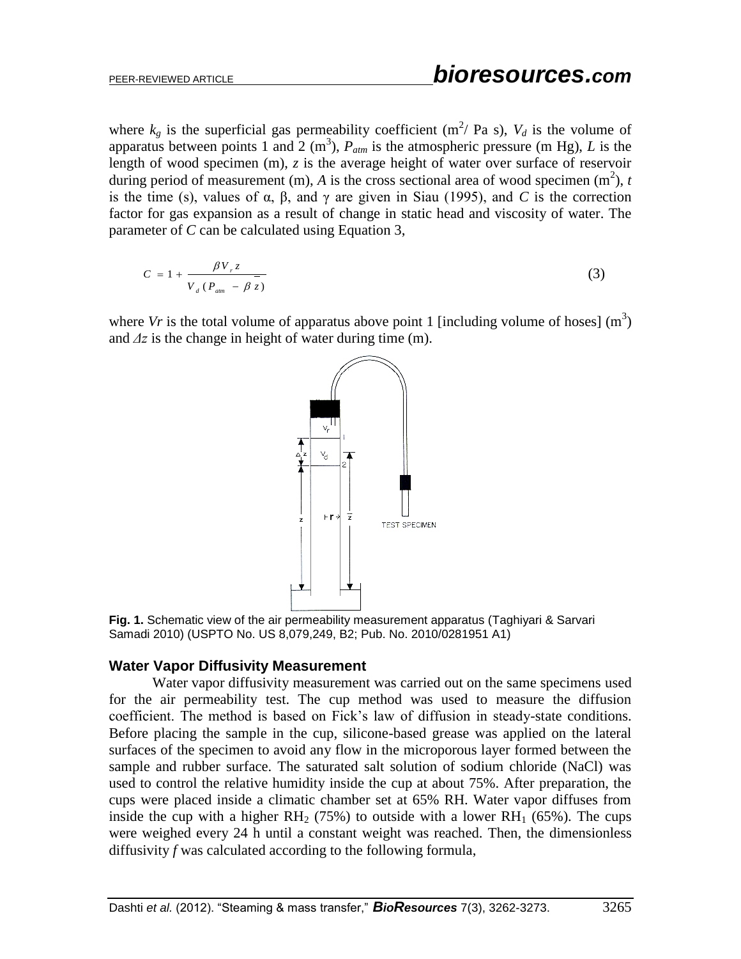where  $k_g$  is the superficial gas permeability coefficient (m<sup>2</sup>/ Pa s),  $V_d$  is the volume of apparatus between points 1 and 2 (m<sup>3</sup>),  $P_{atm}$  is the atmospheric pressure (m Hg), *L* is the length of wood specimen (m), *z* is the average height of water over surface of reservoir during period of measurement (m),  $\vec{A}$  is the cross sectional area of wood specimen (m<sup>2</sup>),  $t$ is the time (s), values of α, β, and γ are given in Siau (1995), and *C* is the correction factor for gas expansion as a result of change in static head and viscosity of water. The parameter of *C* can be calculated using Equation 3,

$$
C = 1 + \frac{\beta V_r z}{V_d (P_{am} - \beta z)}
$$
\n
$$
(3)
$$

where *Vr* is the total volume of apparatus above point 1 [including volume of hoses]  $(m<sup>3</sup>)$ and *Δz* is the change in height of water during time (m).



**Fig. 1.** Schematic view of the air permeability measurement apparatus (Taghiyari & Sarvari Samadi 2010) (USPTO No. US 8,079,249, B2; Pub. No. 2010/0281951 A1)

## **Water Vapor Diffusivity Measurement**

Water vapor diffusivity measurement was carried out on the same specimens used for the air permeability test. The cup method was used to measure the diffusion coefficient. The method is based on Fick's law of diffusion in steady-state conditions. Before placing the sample in the cup, silicone-based grease was applied on the lateral surfaces of the specimen to avoid any flow in the microporous layer formed between the sample and rubber surface. The saturated salt solution of sodium chloride (NaCl) was used to control the relative humidity inside the cup at about 75%. After preparation, the cups were placed inside a climatic chamber set at 65% RH. Water vapor diffuses from inside the cup with a higher  $RH_2$  (75%) to outside with a lower  $RH_1$  (65%). The cups were weighed every 24 h until a constant weight was reached. Then, the dimensionless diffusivity *f* was calculated according to the following formula,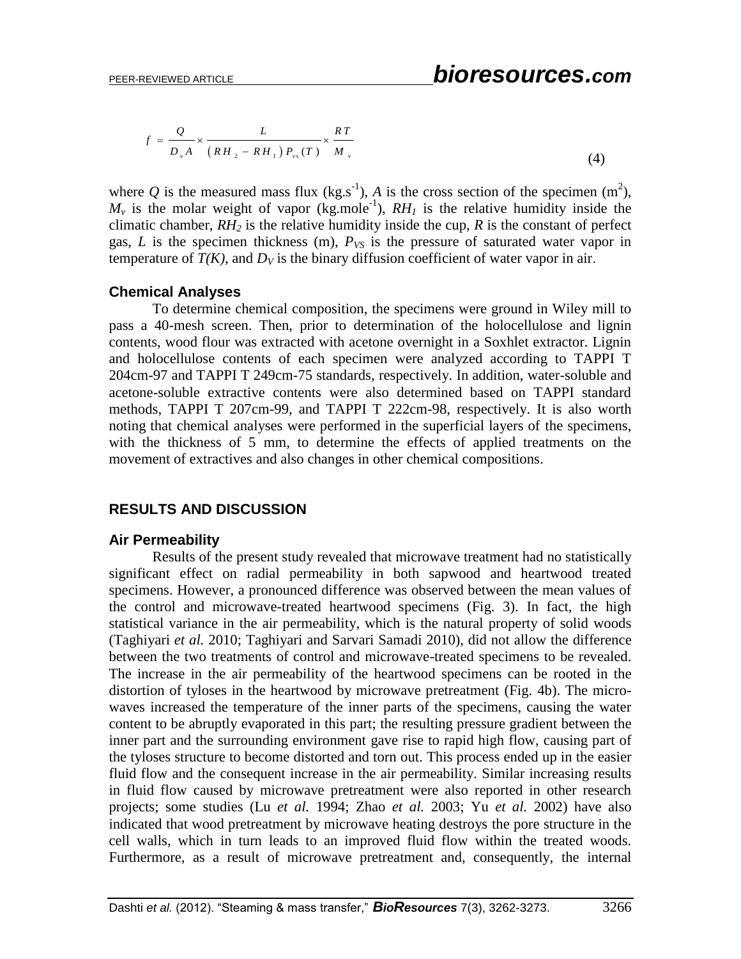$$
f = \frac{Q}{D_v A} \times \frac{L}{\left(RH_2 - RH_1\right)P_{vs}(T)} \times \frac{RT}{M_v}
$$
\n<sup>(4)</sup>

where Q is the measured mass flux  $(kg.s^{-1})$ , A is the cross section of the specimen  $(m^2)$ ,  $M_{\nu}$  is the molar weight of vapor (kg.mole<sup>-1</sup>),  $RH_{I}$  is the relative humidity inside the climatic chamber,  $RH_2$  is the relative humidity inside the cup,  $R$  is the constant of perfect gas, *L* is the specimen thickness (m),  $P_{VS}$  is the pressure of saturated water vapor in temperature of  $T(K)$ , and  $D_V$  is the binary diffusion coefficient of water vapor in air.

#### **Chemical Analyses**

To determine chemical composition, the specimens were ground in Wiley mill to pass a 40-mesh screen. Then, prior to determination of the holocellulose and lignin contents, wood flour was extracted with acetone overnight in a Soxhlet extractor. Lignin and holocellulose contents of each specimen were analyzed according to TAPPI T 204cm-97 and TAPPI T 249cm-75 standards, respectively. In addition, water-soluble and acetone-soluble extractive contents were also determined based on TAPPI standard methods, TAPPI T 207cm-99, and TAPPI T 222cm-98, respectively. It is also worth noting that chemical analyses were performed in the superficial layers of the specimens, with the thickness of 5 mm, to determine the effects of applied treatments on the movement of extractives and also changes in other chemical compositions.

## **RESULTS AND DISCUSSION**

## **Air Permeability**

Results of the present study revealed that microwave treatment had no statistically significant effect on radial permeability in both sapwood and heartwood treated specimens. However, a pronounced difference was observed between the mean values of the control and microwave-treated heartwood specimens (Fig. 3). In fact, the high statistical variance in the air permeability, which is the natural property of solid woods (Taghiyari *et al.* 2010; Taghiyari and Sarvari Samadi 2010), did not allow the difference between the two treatments of control and microwave-treated specimens to be revealed. The increase in the air permeability of the heartwood specimens can be rooted in the distortion of tyloses in the heartwood by microwave pretreatment (Fig. 4b). The microwaves increased the temperature of the inner parts of the specimens, causing the water content to be abruptly evaporated in this part; the resulting pressure gradient between the inner part and the surrounding environment gave rise to rapid high flow, causing part of the tyloses structure to become distorted and torn out. This process ended up in the easier fluid flow and the consequent increase in the air permeability. Similar increasing results in fluid flow caused by microwave pretreatment were also reported in other research projects; some studies (Lu *et al.* 1994; Zhao *et al.* 2003; Yu *et al.* 2002) have also indicated that wood pretreatment by microwave heating destroys the pore structure in the cell walls, which in turn leads to an improved fluid flow within the treated woods. Furthermore, as a result of microwave pretreatment and, consequently, the internal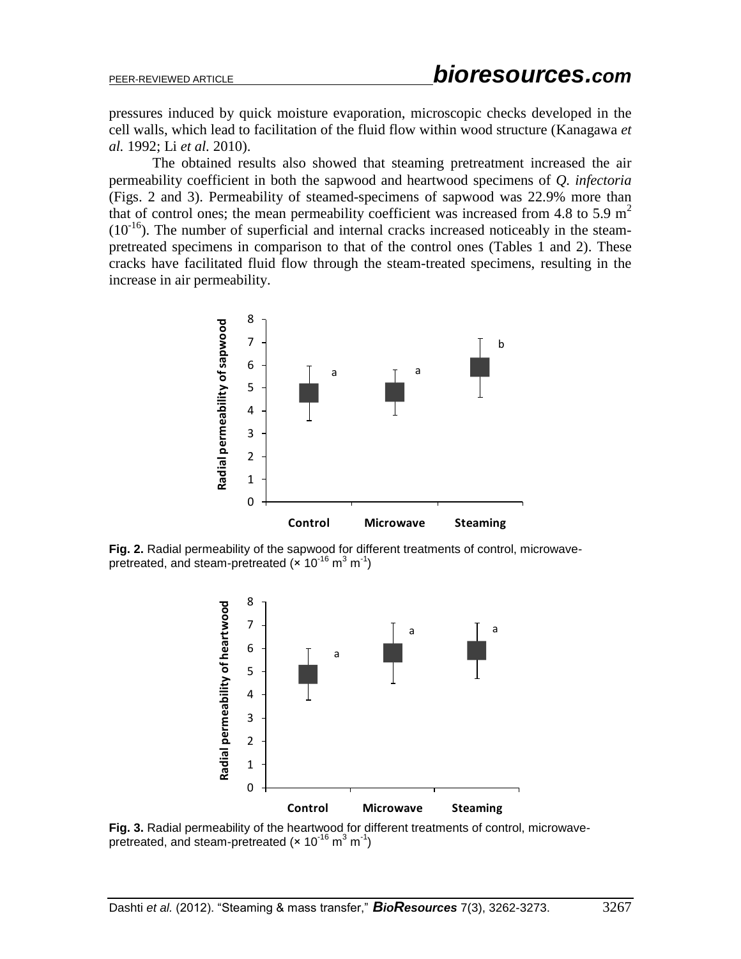pressures induced by quick moisture evaporation, microscopic checks developed in the cell walls, which lead to facilitation of the fluid flow within wood structure (Kanagawa *et al.* 1992; Li *et al.* 2010).

The obtained results also showed that steaming pretreatment increased the air permeability coefficient in both the sapwood and heartwood specimens of *Q. infectoria* (Figs. 2 and 3). Permeability of steamed-specimens of sapwood was 22.9% more than that of control ones; the mean permeability coefficient was increased from 4.8 to 5.9  $m<sup>2</sup>$  $(10^{-16})$ . The number of superficial and internal cracks increased noticeably in the steampretreated specimens in comparison to that of the control ones (Tables 1 and 2). These cracks have facilitated fluid flow through the steam-treated specimens, resulting in the increase in air permeability.



**Fig. 2.** Radial permeability of the sapwood for different treatments of control, microwavepretreated, and steam-pretreated ( $\times$  10<sup>-16</sup> m<sup>3</sup> m<sup>-1</sup>)



**Fig. 3.** Radial permeability of the heartwood for different treatments of control, microwavepretreated, and steam-pretreated ( $\times$  10<sup>-16</sup> m<sup>3</sup> m<sup>-1</sup>)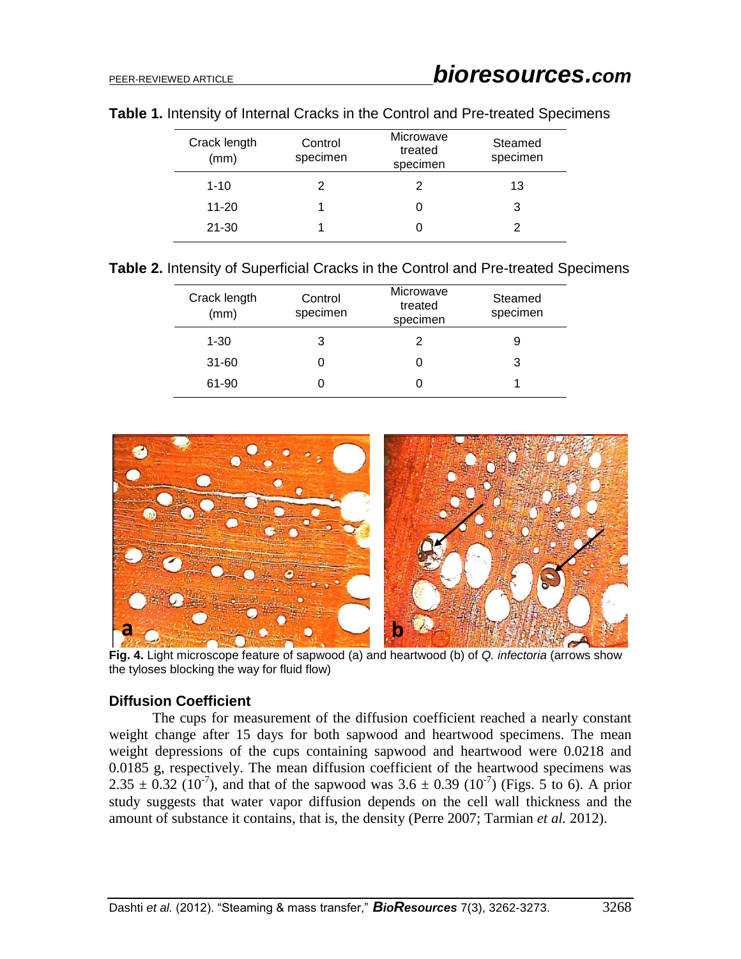| Crack length<br>(mm) | Control<br>specimen | Microwave<br>treated<br>specimen | Steamed<br>specimen |
|----------------------|---------------------|----------------------------------|---------------------|
| $1 - 10$             | 2                   |                                  | 13                  |
| $11 - 20$            |                     |                                  | 3                   |
| $21 - 30$            |                     | U                                |                     |

#### **Table 1.** Intensity of Internal Cracks in the Control and Pre-treated Specimens

**Table 2.** Intensity of Superficial Cracks in the Control and Pre-treated Specimens

| Crack length<br>(mm) | Control<br>specimen | Microwave<br>treated<br>specimen | Steamed<br>specimen |
|----------------------|---------------------|----------------------------------|---------------------|
| $1 - 30$             | З                   | 2                                |                     |
| $31 - 60$            | O                   |                                  |                     |
| 61-90                | 0                   |                                  |                     |



**Fig. 4.** Light microscope feature of sapwood (a) and heartwood (b) of *Q. infectoria* (arrows show the tyloses blocking the way for fluid flow)

## **Diffusion Coefficient**

The cups for measurement of the diffusion coefficient reached a nearly constant weight change after 15 days for both sapwood and heartwood specimens. The mean weight depressions of the cups containing sapwood and heartwood were 0.0218 and 0.0185 g, respectively. The mean diffusion coefficient of the heartwood specimens was 2.35  $\pm$  0.32 (10<sup>-7</sup>), and that of the sapwood was 3.6  $\pm$  0.39 (10<sup>-7</sup>) (Figs. 5 to 6). A prior study suggests that water vapor diffusion depends on the cell wall thickness and the amount of substance it contains, that is, the density (Perre 2007; Tarmian *et al.* 2012).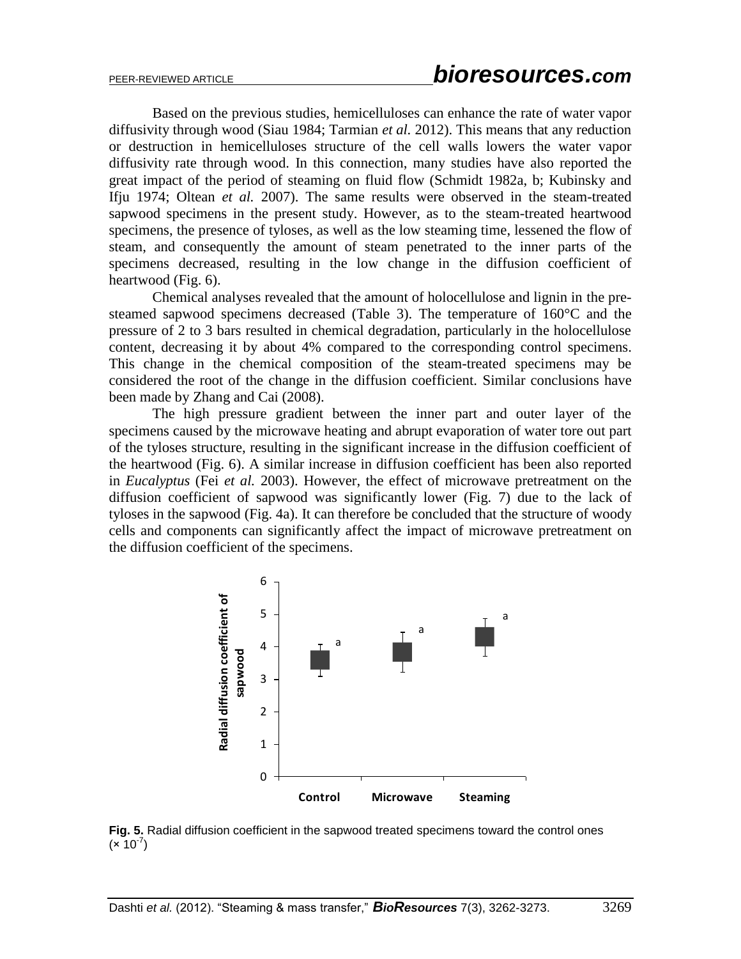Based on the previous studies, hemicelluloses can enhance the rate of water vapor diffusivity through wood (Siau 1984; Tarmian *et al.* 2012). This means that any reduction or destruction in hemicelluloses structure of the cell walls lowers the water vapor diffusivity rate through wood. In this connection, many studies have also reported the great impact of the period of steaming on fluid flow (Schmidt 1982a, b; Kubinsky and Ifju 1974; Oltean *et al.* 2007). The same results were observed in the steam-treated sapwood specimens in the present study. However, as to the steam-treated heartwood specimens, the presence of tyloses, as well as the low steaming time, lessened the flow of steam, and consequently the amount of steam penetrated to the inner parts of the specimens decreased, resulting in the low change in the diffusion coefficient of heartwood (Fig. 6).

Chemical analyses revealed that the amount of holocellulose and lignin in the presteamed sapwood specimens decreased (Table 3). The temperature of 160°C and the pressure of 2 to 3 bars resulted in chemical degradation, particularly in the holocellulose content, decreasing it by about 4% compared to the corresponding control specimens. This change in the chemical composition of the steam-treated specimens may be considered the root of the change in the diffusion coefficient. Similar conclusions have been made by Zhang and Cai (2008).

The high pressure gradient between the inner part and outer layer of the specimens caused by the microwave heating and abrupt evaporation of water tore out part of the tyloses structure, resulting in the significant increase in the diffusion coefficient of the heartwood (Fig. 6). A similar increase in diffusion coefficient has been also reported in *Eucalyptus* (Fei *et al.* 2003). However, the effect of microwave pretreatment on the diffusion coefficient of sapwood was significantly lower (Fig. 7) due to the lack of tyloses in the sapwood (Fig. 4a). It can therefore be concluded that the structure of woody cells and components can significantly affect the impact of microwave pretreatment on the diffusion coefficient of the specimens.



**Fig. 5.** Radial diffusion coefficient in the sapwood treated specimens toward the control ones  $(x 10^{-7})$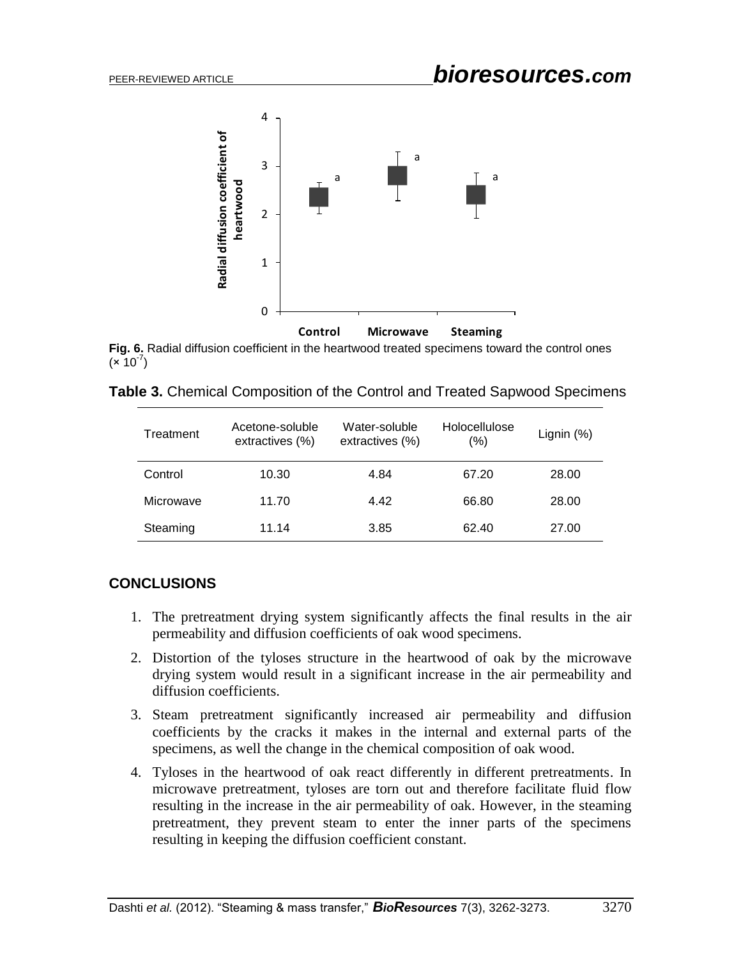

**Fig. 6.** Radial diffusion coefficient in the heartwood treated specimens toward the control ones  $(x 10^{-7})$ 

| Treatment | Acetone-soluble<br>extractives (%) | Water-soluble<br>extractives (%) | Holocellulose<br>(%) | Lignin $(%)$ |
|-----------|------------------------------------|----------------------------------|----------------------|--------------|
| Control   | 10.30                              | 4.84                             | 67.20                | 28.00        |
| Microwave | 11.70                              | 4.42                             | 66.80                | 28.00        |

Steaming 11.14 3.85 62.40 27.00

## **CONCLUSIONS**

- 1. The pretreatment drying system significantly affects the final results in the air permeability and diffusion coefficients of oak wood specimens.
- 2. Distortion of the tyloses structure in the heartwood of oak by the microwave drying system would result in a significant increase in the air permeability and diffusion coefficients.
- 3. Steam pretreatment significantly increased air permeability and diffusion coefficients by the cracks it makes in the internal and external parts of the specimens, as well the change in the chemical composition of oak wood.
- 4. Tyloses in the heartwood of oak react differently in different pretreatments. In microwave pretreatment, tyloses are torn out and therefore facilitate fluid flow resulting in the increase in the air permeability of oak. However, in the steaming pretreatment, they prevent steam to enter the inner parts of the specimens resulting in keeping the diffusion coefficient constant.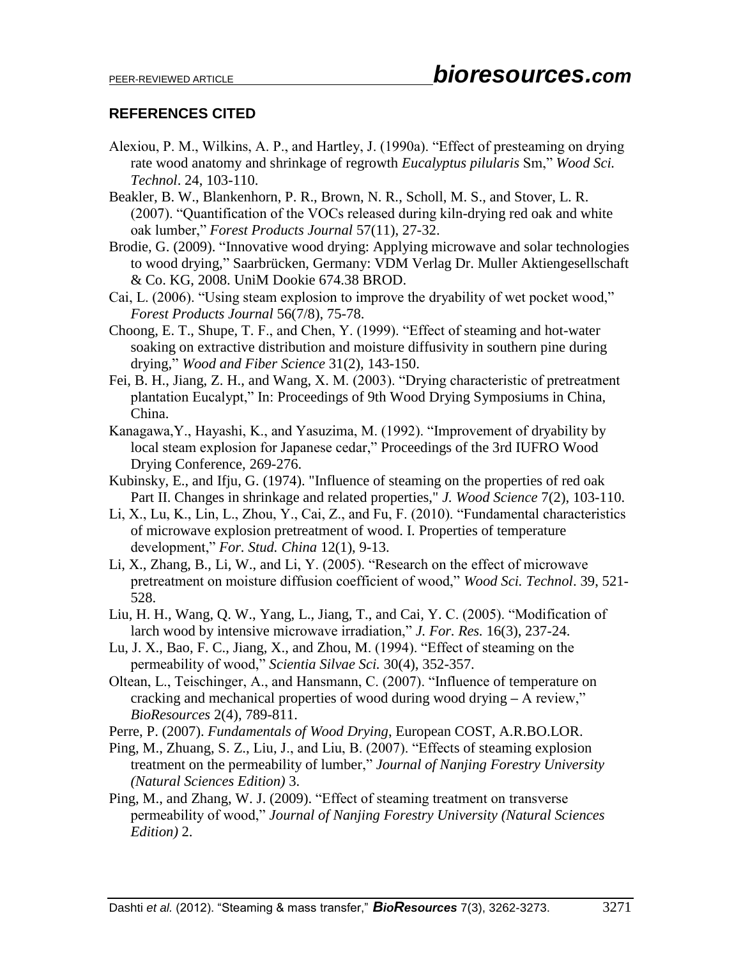# **REFERENCES CITED**

- Alexiou, P. M., Wilkins, A. P., and Hartley, J. (1990a). "Effect of presteaming on drying rate wood anatomy and shrinkage of regrowth *Eucalyptus pilularis* Sm," *Wood Sci. Technol*. 24, 103-110.
- Beakler, B. W., Blankenhorn, P. R., Brown, N. R., Scholl, M. S., and Stover, L. R. (2007). "Quantification of the VOCs released during kiln-drying red oak and white oak lumber," *Forest Products Journal* 57(11), 27-32.
- Brodie, G. (2009). "Innovative wood drying: Applying microwave and solar technologies to wood drying," Saarbrücken, Germany: VDM Verlag Dr. Muller Aktiengesellschaft & Co. KG, 2008. UniM Dookie 674.38 BROD.
- Cai, L. (2006). "Using steam explosion to improve the dryability of wet pocket wood," *Forest Products Journal* 56(7/8), 75-78.
- Choong, E. T., Shupe, T. F., and Chen, Y. (1999). "Effect of steaming and hot-water soaking on extractive distribution and moisture diffusivity in southern pine during drying," *Wood and Fiber Science* 31(2), 143-150.
- Fei, B. H., Jiang, Z. H., and Wang, X. M. (2003). "Drying characteristic of pretreatment plantation Eucalypt," In: Proceedings of 9th Wood Drying Symposiums in China, China.
- Kanagawa,Y., Hayashi, K., and Yasuzima, M. (1992). "Improvement of dryability by local steam explosion for Japanese cedar," Proceedings of the 3rd IUFRO Wood Drying Conference, 269-276.
- Kubinsky, E., and Ifju, G. (1974). "Influence of steaming on the properties of red oak Part II. Changes in shrinkage and related properties," *J. Wood Science* 7(2), 103-110.
- Li, X., Lu, K., Lin, L., Zhou, Y., Cai, Z., and Fu, F. (2010). "Fundamental characteristics of microwave explosion pretreatment of wood. I. Properties of temperature development," *For. Stud. China* 12(1), 9-13.
- Li, X., Zhang, B., Li, W., and Li, Y. (2005). "Research on the effect of microwave pretreatment on moisture diffusion coefficient of wood," *Wood Sci. Technol*. 39, 521- 528.
- Liu, H. H., Wang, Q. W., Yang, L., Jiang, T., and Cai, Y. C. (2005). "Modification of larch wood by intensive microwave irradiation," *J. For. Res.* 16(3), 237-24.
- Lu, J. X., Bao, F. C., Jiang, X., and Zhou, M. (1994). "Effect of steaming on the permeability of wood," *Scientia Silvae Sci.* 30(4), 352-357.
- Oltean, L., Teischinger, A., and Hansmann, C. (2007). "Influence of temperature on cracking and mechanical properties of wood during wood drying **–** A review," *BioResources* 2(4), 789-811.
- Perre, P. (2007). *Fundamentals of Wood Drying*, European COST, A.R.BO.LOR.
- Ping, M., Zhuang, S. Z., Liu, J., and Liu, B. (2007). "Effects of steaming explosion treatment on the permeability of lumber," *Journal of Nanjing Forestry University (Natural Sciences Edition)* 3.
- Ping, M., and Zhang, W. J. (2009). "Effect of steaming treatment on transverse permeability of wood," *Journal of Nanjing Forestry University (Natural Sciences Edition)* 2.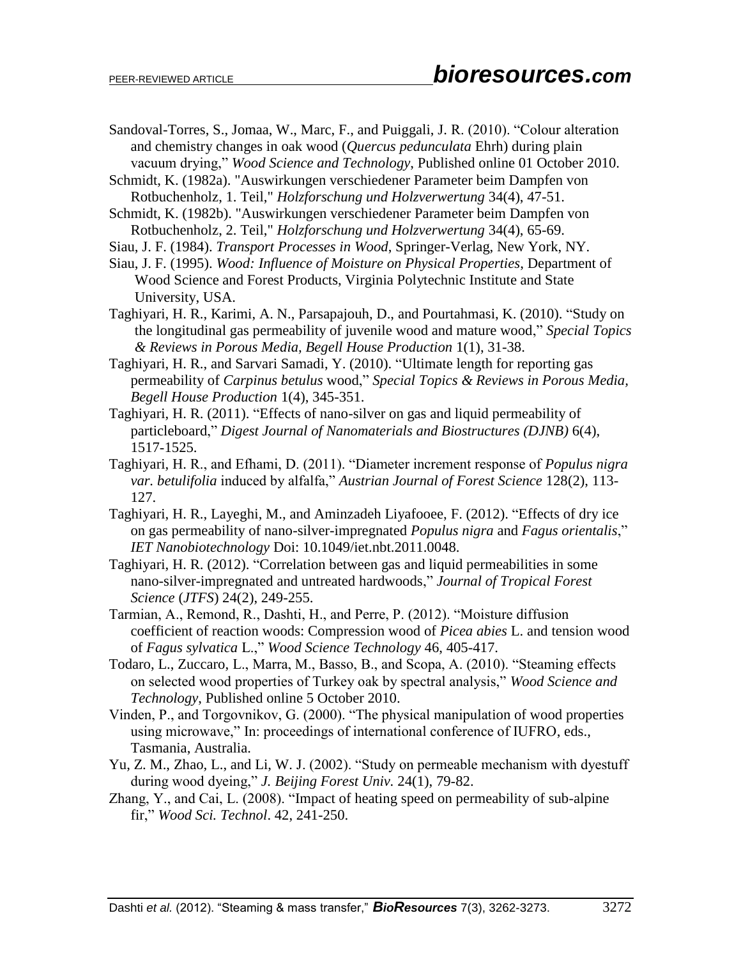- Sandoval-Torres, S., Jomaa, W., Marc, F., and Puiggali, J. R. (2010). "Colour alteration and chemistry changes in oak wood (*Quercus pedunculata* Ehrh) during plain vacuum drying," *Wood Science and Technology*, Published online 01 October 2010.
- Schmidt, K. (1982a). "Auswirkungen verschiedener Parameter beim Dampfen von Rotbuchenholz, 1. Teil," *Holzforschung und Holzverwertung* 34(4), 47-51.
- Schmidt, K. (1982b). "Auswirkungen verschiedener Parameter beim Dampfen von Rotbuchenholz, 2. Teil," *Holzforschung und Holzverwertung* 34(4), 65-69.
- Siau, J. F. (1984). *Transport Processes in Wood*, Springer-Verlag, New York, NY.
- Siau, J. F. (1995). *Wood: Influence of Moisture on Physical Properties*, Department of Wood Science and Forest Products, Virginia Polytechnic Institute and State University, USA.
- Taghiyari, H. R., Karimi, A. N., Parsapajouh, D., and Pourtahmasi, K. (2010). "Study on the longitudinal gas permeability of juvenile wood and mature wood," *Special Topics & Reviews in Porous Media, Begell House Production* 1(1), 31-38.
- Taghiyari, H. R., and Sarvari Samadi, Y. (2010). "Ultimate length for reporting gas permeability of *Carpinus betulus* wood," *Special Topics & Reviews in Porous Media, Begell House Production* 1(4), 345-351.
- Taghiyari, H. R. (2011). "Effects of nano-silver on gas and liquid permeability of particleboard," *Digest Journal of Nanomaterials and Biostructures (DJNB)* 6(4), 1517-1525.
- Taghiyari, H. R., and Efhami, D. (2011). "Diameter increment response of *Populus nigra var. betulifolia* induced by alfalfa," *Austrian Journal of Forest Science* 128(2), 113- 127.
- Taghiyari, H. R., Layeghi, M., and Aminzadeh Liyafooee, F. (2012). "Effects of dry ice on gas permeability of nano-silver-impregnated *Populus nigra* and *Fagus orientalis*," *IET Nanobiotechnology* Doi: 10.1049/iet.nbt.2011.0048.
- Taghiyari, H. R. (2012). "Correlation between gas and liquid permeabilities in some nano-silver-impregnated and untreated hardwoods," *Journal of Tropical Forest Science* (*JTFS*) 24(2), 249-255.
- Tarmian, A., Remond, R., Dashti, H., and Perre, P. (2012). "Moisture diffusion coefficient of reaction woods: Compression wood of *Picea abies* L. and tension wood of *Fagus sylvatica* L.," *Wood Science Technology* 46, 405-417.
- Todaro, L., Zuccaro, L., Marra, M., Basso, B., and Scopa, A. (2010). "Steaming effects on selected wood properties of Turkey oak by spectral analysis," *Wood Science and Technology*, Published online 5 October 2010.
- Vinden, P., and Torgovnikov, G. (2000). "The physical manipulation of wood properties using microwave," In: proceedings of international conference of IUFRO, eds., Tasmania, Australia.
- Yu, Z. M., Zhao, L., and Li, W. J. (2002). "Study on permeable mechanism with dyestuff during wood dyeing," *J. Beijing Forest Univ.* 24(1), 79-82.
- Zhang, Y., and Cai, L. (2008). "Impact of heating speed on permeability of sub-alpine fir," *Wood Sci. Technol*. 42, 241-250.